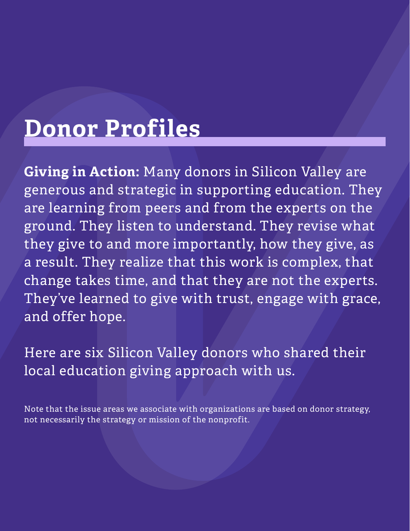## **Donor Profiles**

**Giving in Action:** Many donors in Silicon Valley are generous and strategic in supporting education. They are learning from peers and from the experts on the ground. They listen to understand. They revise what they give to and more importantly, how they give, as a result. They realize that this work is complex, that change takes time, and that they are not the experts. They've learned to give with trust, engage with grace, and offer hope.

Here are six Silicon Valley donors who shared their local education giving approach with us.

Note that the issue areas we associate with organizations are based on donor strategy, not necessarily the strategy or mission of the nonprofit.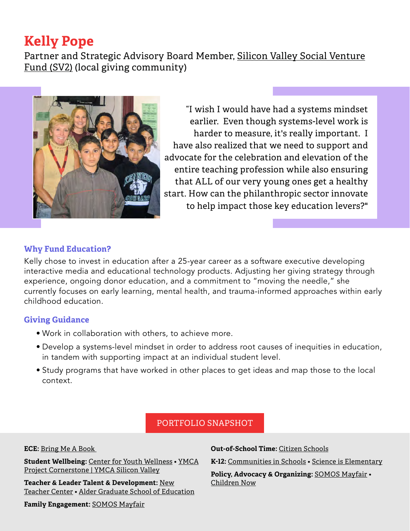## **Kelly Pope**

Partner and Strategic Advisory Board Member, [Silicon Valley Social Venture](https://www.sv2.org/) [Fund \(SV2\)](https://www.sv2.org/) (local giving community)



"I wish I would have had a systems mindset earlier. Even though systems-level work is harder to measure, it's really important. I have also realized that we need to support and advocate for the celebration and elevation of the entire teaching profession while also ensuring that ALL of our very young ones get a healthy start. How can the philanthropic sector innovate to help impact those key education levers?"

## **Why Fund Education?**

Kelly chose to invest in education after a 25-year career as a software executive developing interactive media and educational technology products. Adjusting her giving strategy through experience, ongoing donor education, and a commitment to "moving the needle," she currently focuses on early learning, mental health, and trauma-informed approaches within early childhood education.

## **Giving Guidance**

- Work in collaboration with others, to achieve more.
- Develop a systems-level mindset in order to address root causes of inequities in education, in tandem with supporting impact at an individual student level.
- Study programs that have worked in other places to get ideas and map those to the local context.

## PORTFOLIO SNAPSHOT

#### **ECE:** [Bring Me A Book](https://bringmeabook.org/)

**Student Wellbeing:** [Center for Youth Wellness](https://centerforyouthwellness.org/) • [YMCA](https://www.ymcasv.org/ymca-project-cornerstone)  [Project Cornerstone | YMCA Silicon Valley](https://www.ymcasv.org/ymca-project-cornerstone)

**Teacher & Leader Talent & Development:** [New](https://newteachercenter.org/) [Teacher Center](https://newteachercenter.org/) • [Alder Graduate School of Education](https://aldergse.edu/)

**Family Engagement:** [SOMOS Mayfair](https://www.somosmayfair.org/)

**Out-of-School Time:** [Citizen Schools](https://www.citizenschools.org/california-schools)

**K-12:** [Communities in Schools](https://www.communitiesinschools.org/) • [Science is Elementary](https://www.scienceiselementary.org/)

**Policy, Advocacy & Organizing:** [SOMOS Mayfair](https://www.somosmayfair.org/) • [Children Now](https://www.childrennow.org/)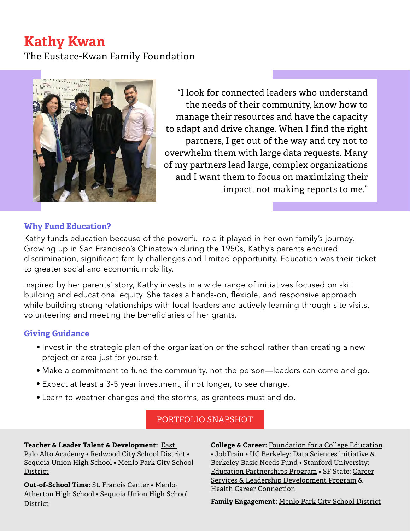## **Kathy Kwan**

The Eustace-Kwan Family Foundation



"I look for connected leaders who understand the needs of their community, know how to manage their resources and have the capacity to adapt and drive change. When I find the right partners, I get out of the way and try not to overwhelm them with large data requests. Many of my partners lead large, complex organizations and I want them to focus on maximizing their impact, not making reports to me."

## **Why Fund Education?**

Kathy funds education because of the powerful role it played in her own family's journey. Growing up in San Francisco's Chinatown during the 1950s, Kathy's parents endured discrimination, significant family challenges and limited opportunity. Education was their ticket to greater social and economic mobility.

Inspired by her parents' story, Kathy invests in a wide range of initiatives focused on skill building and educational equity. She takes a hands-on, flexible, and responsive approach while building strong relationships with local leaders and actively learning through site visits, volunteering and meeting the beneficiaries of her grants.

## **Giving Guidance**

- Invest in the strategic plan of the organization or the school rather than creating a new project or area just for yourself.
- Make a commitment to fund the community, not the person—leaders can come and go.
- Expect at least a 3-5 year investment, if not longer, to see change.
- Learn to weather changes and the storms, as grantees must and do.

## PORTFOLIO SNAPSHOT

**Teacher & Leader Talent & Development:** [East](https://www.epaaf.org/)  [Palo Alto Academy](https://www.epaaf.org/) • [Redwood City School District](https://www.rcsdk8.net/) • [Sequoia Union High School](https://www.seq.org/) • [Menlo Park City School](https://district.mpcsd.org/) [District](https://district.mpcsd.org/)

**Out-of-School Time:** [St. Francis Center](https://stfrancisrwc.org/) • [Menlo-](https://www.mafoundation.org/)[Atherton High School](https://www.mafoundation.org/) • [Sequoia Union High School](https://www.sequoiahs.org/PARENTS--COMMUNITY/SHS-Education-Foundation/index.html) [District](https://www.sequoiahs.org/PARENTS--COMMUNITY/SHS-Education-Foundation/index.html)

**College & Career:** [Foundation for a College Education](https://collegefoundation.org/) • [JobTrain](https://www.jobtrainworks.org/) • UC Berkeley: [Data Sciences initiative](https://data.berkeley.edu/) & [Berkeley Basic Needs Fund](https://give.berkeley.edu/fund/FU1229000) • Stanford University: [Education Partnerships Program](https://haas.stanford.edu/student-programs/education-partnerships) • SF State: [Career](http://csld.sfsu.edu/) [Services & Leadership Development Program](http://csld.sfsu.edu/) & [Health Career Connection](https://www.healthcareers.org/)

**Family Engagement:** [Menlo Park City School District](https://district.mpcsd.org/)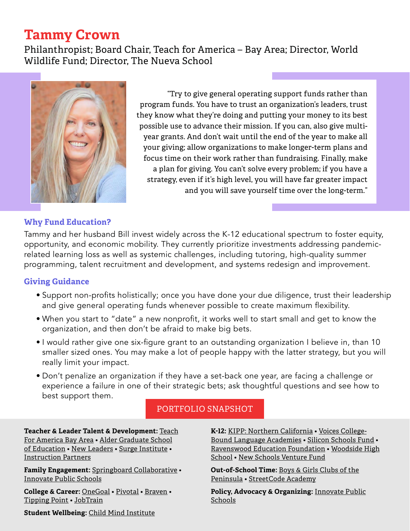## **Tammy Crown**

Philanthropist; Board Chair, Teach for America – Bay Area; Director, World Wildlife Fund; Director, The Nueva School



"Try to give general operating support funds rather than program funds. You have to trust an organization's leaders, trust they know what they're doing and putting your money to its best possible use to advance their mission. If you can, also give multiyear grants. And don't wait until the end of the year to make all your giving; allow organizations to make longer-term plans and focus time on their work rather than fundraising. Finally, make a plan for giving. You can't solve every problem; if you have a strategy, even if it's high level, you will have far greater impact and you will save yourself time over the long-term."

## **Why Fund Education?**

Tammy and her husband Bill invest widely across the K-12 educational spectrum to foster equity, opportunity, and economic mobility. They currently prioritize investments addressing pandemicrelated learning loss as well as systemic challenges, including tutoring, high-quality summer programming, talent recruitment and development, and systems redesign and improvement.

## **Giving Guidance**

- Support non-profits holistically; once you have done your due diligence, trust their leadership and give general operating funds whenever possible to create maximum flexibility.
- When you start to "date" a new nonprofit, it works well to start small and get to know the organization, and then don't be afraid to make big bets.
- I would rather give one six-figure grant to an outstanding organization I believe in, than 10 smaller sized ones. You may make a lot of people happy with the latter strategy, but you will really limit your impact.
- Don't penalize an organization if they have a set-back one year, are facing a challenge or experience a failure in one of their strategic bets; ask thoughtful questions and see how to best support them.

## PORTFOLIO SNAPSHOT

**Teacher & Leader Talent & Development:** [Teach](https://www.tfabay.org/) [For America Bay Area](https://www.tfabay.org/) • [Alder Graduate School](https://aldergse.edu/) [of Education](https://aldergse.edu/) • [New Leaders](https://www.newleaders.org/) • [Surge Institute](https://www.surgeinstitute.org/) • [Instruction Partners](https://instructionpartners.org/)

**Family Engagement:** [Springboard Collaborative](https://www.springboardcollaborative.org/) • [Innovate Public Schools](https://innovateschools.org/)

**College & Career:** [OneGoal](https://www.onegoalgraduation.org/communities/bay-area/) • [Pivotal](https://www.pivotalnow.org/) • [Braven](https://bebraven.org/) • [Tipping Point](https://tippingpoint.org/) • [JobTrain](https://www.jobtrainworks.org/)

**K-12:** [KIPP: Northern California](https://kippnorcal.org/) • [Voices](https://voicesacademies.org/) College-Bound Language Academies • [Silicon Schools Fund](https://www.siliconschools.com/) • [Ravenswood Education Foundation](https://www.ravenswoodef.org/) • [Woodside High](https://www.woodsidehs.org/) [School](https://www.woodsidehs.org/) • [New Schools Venture Fund](https://www.newschools.org/)

**Out-of-School Time:** [Boys & Girls Clubs of the](http://bgcp.org) [Peninsula](http://bgcp.org) • [StreetCode Academy](https://streetcode.org/)

**Policy, Advocacy & Organizing:** [Innovate Public](https://innovateschools.org/) [Schools](https://innovateschools.org/)

**Student Wellbeing:** [Child Mind Institute](https://childmind.org/)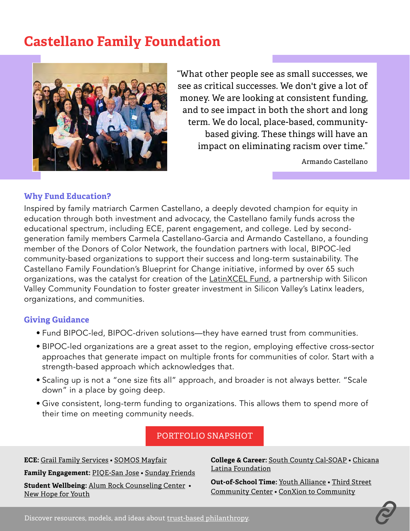## **Castellano Family Foundation**



"What other people see as small successes, we see as critical successes. We don't give a lot of money. We are looking at consistent funding, and to see impact in both the short and long term. We do local, place-based, communitybased giving. These things will have an impact on eliminating racism over time."

Armando Castellano

## **Why Fund Education?**

Inspired by family matriarch Carmen Castellano, a deeply devoted champion for equity in education through both investment and advocacy, the Castellano family funds across the educational spectrum, including ECE, parent engagement, and college. Led by secondgeneration family members Carmela Castellano-Garcia and Armando Castellano, a founding member of the Donors of Color Network, the foundation partners with local, BIPOC-led community-based organizations to support their success and long-term sustainability. The Castellano Family Foundation's Blueprint for Change initiative, informed by over 65 such organizations, was the catalyst for creation of the **LatinXCEL Fund**, a partnership with Silicon Valley Community Foundation to foster greater investment in Silicon Valley's Latinx leaders, organizations, and communities.

## **Giving Guidance**

- Fund BIPOC-led, BIPOC-driven solutions—they have earned trust from communities.
- BIPOC-led organizations are a great asset to the region, employing effective cross-sector approaches that generate impact on multiple fronts for communities of color. Start with a strength-based approach which acknowledges that.
- Scaling up is not a "one size fits all" approach, and broader is not always better. "Scale down" in a place by going deep.
- Give consistent, long-term funding to organizations. This allows them to spend more of their time on meeting community needs.

## PORTFOLIO SNAPSHOT

**ECE:** [Grail Family Services](http://www.gfsfamilyservices.org/) • [SOMOS Mayfair](https://www.somosmayfair.org/) **Family Engagement:** [PIQE-San Jose](https://www.piqe.org/about/) • [Sunday Friends](https://www.sundayfriends.org/) **Student Wellbeing:** [Alum Rock Counseling Center](https://alumrockcc.org/) • [New Hope for Youth](http://www.newhopeforyouth.org/)

**College & Career:** [South County Cal-SOAP](https://www.southcountycalsoap.org/) • [Chicana](https://chicanalatina.org/) [Latina Foundation](https://chicanalatina.org/)

**Out-of-School Time:** [Youth Alliance](http://site.youthall.org/) • [Third Street](https://3street.weebly.com/) [Community Center](https://3street.weebly.com/) • [ConXion to Community](https://conxion.org/)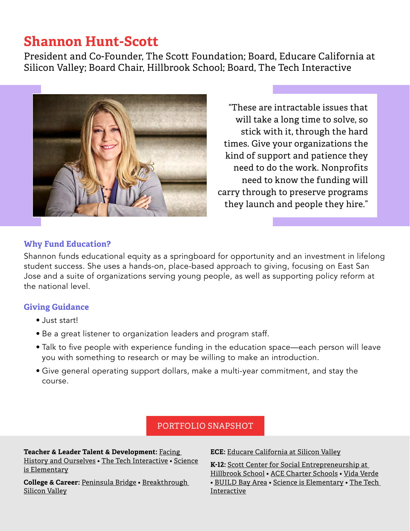## **Shannon Hunt-Scott**

President and Co-Founder, The Scott Foundation; Board, Educare California at Silicon Valley; Board Chair, Hillbrook School; Board, The Tech Interactive



"These are intractable issues that will take a long time to solve, so stick with it, through the hard times. Give your organizations the kind of support and patience they need to do the work. Nonprofits need to know the funding will carry through to preserve programs they launch and people they hire."

## **Why Fund Education?**

Shannon funds educational equity as a springboard for opportunity and an investment in lifelong student success. She uses a hands-on, place-based approach to giving, focusing on East San Jose and a suite of organizations serving young people, as well as supporting policy reform at the national level.

## **Giving Guidance**

- Just start!
- Be a great listener to organization leaders and program staff.
- Talk to five people with experience funding in the education space—each person will leave you with something to research or may be willing to make an introduction.
- Give general operating support dollars, make a multi-year commitment, and stay the course.

## PORTFOLIO SNAPSHOT

**Teacher & Leader Talent & Development:** [Facing](https://www.facinghistory.org/)  [History and Ourselves](https://www.facinghistory.org/) • [The Tech Interactive](https://www.thetech.org/) • [Science](https://www.scienceiselementary.org/)  [is Elementary](https://www.scienceiselementary.org/)

**College & Career:** [Peninsula Bridge](https://www.peninsulabridge.org/) • [Breakthrough](http://breakthroughsv.org/)  [Silicon Valley](http://breakthroughsv.org/)

**ECE:** [Educare California at Silicon Valley](http://www.educaresv.org/)

**K-12:** [Scott Center for Social Entrepreneurship at](https://scottcenterse.org/) [Hillbrook School](https://scottcenterse.org/) • [ACE Charter Schools](https://www.acecharter.org/) • [Vida Verde](https://www.vveducation.org/) • [BUILD Bay Area](https://build.org/) • [Science is Elementary](https://www.scienceiselementary.org/) • [The Tech](https://www.thetech.org/) [Interactive](https://www.thetech.org/)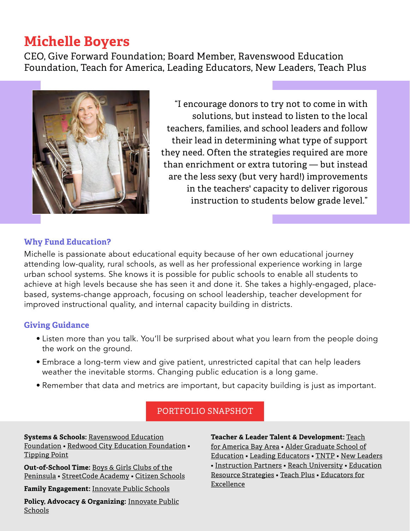## **Michelle Boyers**

CEO, Give Forward Foundation; Board Member, Ravenswood Education Foundation, Teach for America, Leading Educators, New Leaders, Teach Plus



"I encourage donors to try not to come in with solutions, but instead to listen to the local teachers, families, and school leaders and follow their lead in determining what type of support they need. Often the strategies required are more than enrichment or extra tutoring — but instead are the less sexy (but very hard!) improvements in the teachers' capacity to deliver rigorous instruction to students below grade level."

## **Why Fund Education?**

Michelle is passionate about educational equity because of her own educational journey attending low-quality, rural schools, as well as her professional experience working in large urban school systems. She knows it is possible for public schools to enable all students to achieve at high levels because she has seen it and done it. She takes a highly-engaged, placebased, systems-change approach, focusing on school leadership, teacher development for improved instructional quality, and internal capacity building in districts.

## **Giving Guidance**

- Listen more than you talk. You'll be surprised about what you learn from the people doing the work on the ground.
- Embrace a long-term view and give patient, unrestricted capital that can help leaders weather the inevitable storms. Changing public education is a long game.
- Remember that data and metrics are important, but capacity building is just as important.

## PORTFOLIO SNAPSHOT

**Systems & Schools:** [Ravenswood Education](https://www.ravenswoodef.org/) [Foundation](https://www.ravenswoodef.org/) • [Redwood City Education Foundation](https://www.rcef.org/) • [Tipping Point](https://tippingpoint.org/)

**Out-of-School Time:** [Boys & Girls Clubs of the](http://bgcp.org) [Peninsula](http://bgcp.org) • [StreetCode Academy](http://streetcode.org) • [Citizen Schools](https://www.citizenschools.org/)

**Family Engagement:** [Innovate Public Schools](https://innovateschools.org/)

**Policy, Advocacy & Organizing:** [Innovate Public](https://innovateschools.org/) **[Schools](https://innovateschools.org/)** 

**Teacher & Leader Talent & Development:** [Teach](https://www.tfabay.org/) [for America Bay Area](https://www.tfabay.org/) • [Alder Graduate School of](https://aldergse.edu/) [Education](https://aldergse.edu/) • [Leading Educators](https://leadingeducators.org/) • [TNTP](https://tntp.org) • [New Leaders](https://www.newleaders.org/) • [Instruction Partners](https://instructionpartners.org/) • [Reach University](https://reach.edu/) • [Education](https://www.erstrategies.org/) [Resource Strategies](https://www.erstrategies.org/) • [Teach Plus](https://teachplus.org/) • [Educators for](https://e4e.org/) [Excellence](https://e4e.org/)